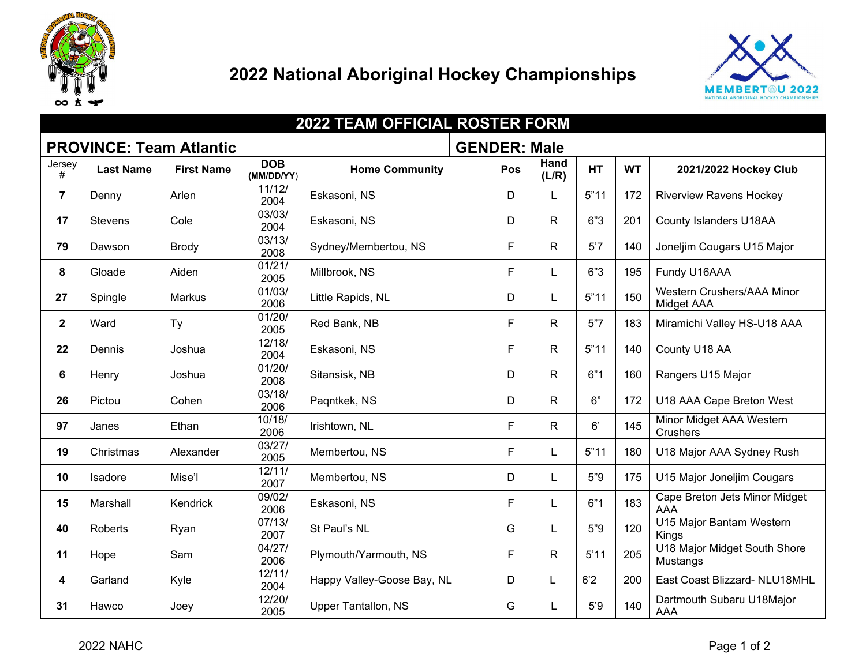

## **National Aboriginal Hockey Championships**



|                                | <b>2022 TEAM OFFICIAL ROSTER FORM</b> |                   |                          |                            |  |                     |               |           |           |                                             |
|--------------------------------|---------------------------------------|-------------------|--------------------------|----------------------------|--|---------------------|---------------|-----------|-----------|---------------------------------------------|
| <b>PROVINCE: Team Atlantic</b> |                                       |                   |                          |                            |  | <b>GENDER: Male</b> |               |           |           |                                             |
| Jersey<br>#                    | <b>Last Name</b>                      | <b>First Name</b> | <b>DOB</b><br>(MM/DD/YY) | <b>Home Community</b>      |  | Pos                 | Hand<br>(L/R) | <b>HT</b> | <b>WT</b> | 2021/2022 Hockey Club                       |
| $\overline{7}$                 | Denny                                 | Arlen             | 11/12/<br>2004           | Eskasoni, NS               |  | D                   | L             | 5"11      | 172       | <b>Riverview Ravens Hockey</b>              |
| 17                             | <b>Stevens</b>                        | Cole              | 03/03/<br>2004           | Eskasoni, NS               |  | D                   | R             | 6"3       | 201       | County Islanders U18AA                      |
| 79                             | Dawson                                | <b>Brody</b>      | 03/13/<br>2008           | Sydney/Membertou, NS       |  | F                   | R             | 5'7       | 140       | Joneljim Cougars U15 Major                  |
| 8                              | Gloade                                | Aiden             | 01/21/<br>2005           | Millbrook, NS              |  | F                   | L             | 6"3       | 195       | Fundy U16AAA                                |
| 27                             | Spingle                               | Markus            | 01/03/<br>2006           | Little Rapids, NL          |  | D                   | L.            | 5"11      | 150       | Western Crushers/AAA Minor<br>Midget AAA    |
| $\overline{2}$                 | Ward                                  | Ty                | 01/20/<br>2005           | Red Bank, NB               |  | F                   | R             | 5"7       | 183       | Miramichi Valley HS-U18 AAA                 |
| 22                             | Dennis                                | Joshua            | 12/18/<br>2004           | Eskasoni, NS               |  | F                   | R             | 5"11      | 140       | County U18 AA                               |
| 6                              | Henry                                 | Joshua            | 01/20/<br>2008           | Sitansisk, NB              |  | D                   | R             | 6"1       | 160       | Rangers U15 Major                           |
| 26                             | Pictou                                | Cohen             | 03/18/<br>2006           | Pagntkek, NS               |  | D                   | R             | 6"        | 172       | U18 AAA Cape Breton West                    |
| 97                             | Janes                                 | Ethan             | 10/18/<br>2006           | Irishtown, NL              |  | F                   | R.            | 6'        | 145       | Minor Midget AAA Western<br><b>Crushers</b> |
| 19                             | Christmas                             | Alexander         | 03/27/<br>2005           | Membertou, NS              |  | F                   | L             | 5"11      | 180       | U18 Major AAA Sydney Rush                   |
| 10                             | Isadore                               | Mise'l            | 12/11/<br>2007           | Membertou, NS              |  | D                   | L             | 5"9       | 175       | U15 Major Joneljim Cougars                  |
| 15                             | Marshall                              | Kendrick          | 09/02/<br>2006           | Eskasoni, NS               |  | F                   | L             | 6"1       | 183       | Cape Breton Jets Minor Midget<br><b>AAA</b> |
| 40                             | <b>Roberts</b>                        | Ryan              | 07/13/<br>2007           | St Paul's NL               |  | G                   | L             | 5"9       | 120       | U15 Major Bantam Western<br>Kings           |
| 11                             | Hope                                  | Sam               | 04/27/<br>2006           | Plymouth/Yarmouth, NS      |  | F                   | R             | 5'11      | 205       | U18 Major Midget South Shore<br>Mustangs    |
| 4                              | Garland                               | Kyle              | 12/11/<br>2004           | Happy Valley-Goose Bay, NL |  | D                   | L             | 6'2       | 200       | East Coast Blizzard- NLU18MHL               |
| 31                             | Hawco                                 | Joey              | 12/20/<br>2005           | <b>Upper Tantallon, NS</b> |  | G                   |               | 5'9       | 140       | Dartmouth Subaru U18Major<br>AAA            |